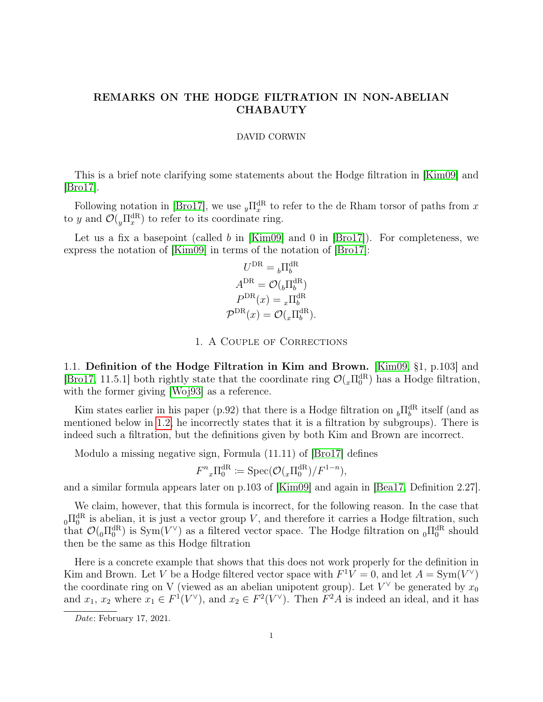## REMARKS ON THE HODGE FILTRATION IN NON-ABELIAN **CHABAUTY**

### DAVID CORWIN

This is a brief note clarifying some statements about the Hodge filtration in [\[Kim09\]](#page-6-0) and [\[Bro17\]](#page-6-1).

Following notation in [\[Bro17\]](#page-6-1), we use  $_{y}\Pi_{x}^{\text{dR}}$  to refer to the de Rham torsor of paths from x to y and  $\mathcal{O}(\mu \Pi_x^{\text{dR}})$  to refer to its coordinate ring.

Let us a fix a basepoint (called b in [\[Kim09\]](#page-6-0) and 0 in [\[Bro17\]](#page-6-1)). For completeness, we express the notation of [\[Kim09\]](#page-6-0) in terms of the notation of [\[Bro17\]](#page-6-1):

$$
U^{\text{DR}} = {}_b \Pi_b^{\text{dR}}
$$

$$
A^{\text{DR}} = \mathcal{O}({}_b \Pi_b^{\text{dR}})
$$

$$
P^{\text{DR}}(x) = {}_x \Pi_b^{\text{dR}}
$$

$$
\mathcal{P}^{\text{DR}}(x) = \mathcal{O}({}_x \Pi_b^{\text{dR}}).
$$

1. A Couple of Corrections

1.1. Definition of the Hodge Filtration in Kim and Brown. [\[Kim09,](#page-6-0) §1, p.103] and [\[Bro17,](#page-6-1) 11.5.1] both rightly state that the coordinate ring  $\mathcal{O}(_{x}\Pi_0^{dR})$  has a Hodge filtration, with the former giving [\[Woj93\]](#page-6-2) as a reference.

Kim states earlier in his paper (p.92) that there is a Hodge filtration on  $_{b}\Pi_{b}^{\text{dR}}$  itself (and as mentioned below in [1.2,](#page-1-0) he incorrectly states that it is a filtration by subgroups). There is indeed such a filtration, but the definitions given by both Kim and Brown are incorrect.

Modulo a missing negative sign, Formula (11.11) of [\[Bro17\]](#page-6-1) defines

$$
F^n{}_x \Pi_0^{\mathrm{dR}} \coloneqq \mathrm{Spec}(\mathcal{O}(_x \Pi_0^{\mathrm{dR}})/F^{1-n}),
$$

and a similar formula appears later on p.103 of [\[Kim09\]](#page-6-0) and again in [\[Bea17,](#page-6-3) Definition 2.27].

We claim, however, that this formula is incorrect, for the following reason. In the case that  $_{0}\Pi_{0}^{\text{dR}}$  is abelian, it is just a vector group V, and therefore it carries a Hodge filtration, such that  $\mathcal{O}(_{0}\Pi_{0}^{dR})$  is Sym $(V^{\vee})$  as a filtered vector space. The Hodge filtration on  $_{0}\Pi_{0}^{dR}$  should then be the same as this Hodge filtration

Here is a concrete example that shows that this does not work properly for the definition in Kim and Brown. Let V be a Hodge filtered vector space with  $F^1V = 0$ , and let  $A = \text{Sym}(V^{\vee})$ the coordinate ring on V (viewed as an abelian unipotent group). Let  $V^{\vee}$  be generated by  $x_0$ and  $x_1, x_2$  where  $x_1 \in F^1(V^{\vee})$ , and  $x_2 \in F^2(V^{\vee})$ . Then  $F^2A$  is indeed an ideal, and it has

Date: February 17, 2021.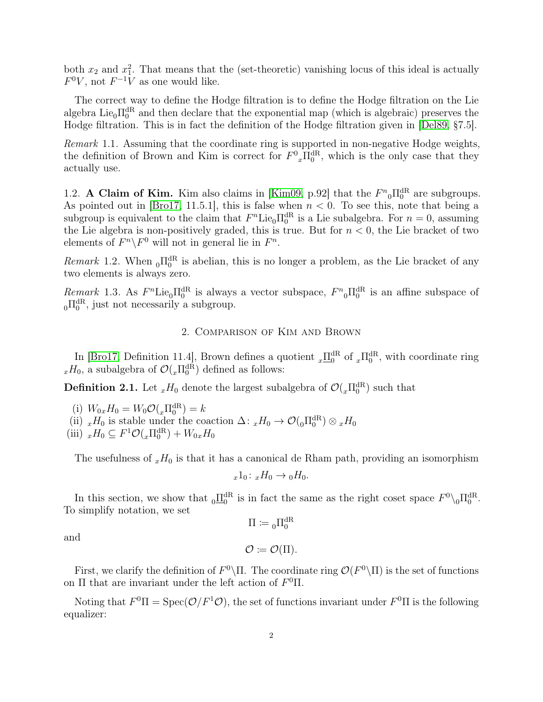both  $x_2$  and  $x_1^2$ . That means that the (set-theoretic) vanishing locus of this ideal is actually  $F^0V$ , not  $F^{-1}V$  as one would like.

The correct way to define the Hodge filtration is to define the Hodge filtration on the Lie algebra Lie<sub>0</sub> $\Pi_0^{\text{dR}}$  and then declare that the exponential map (which is algebraic) preserves the Hodge filtration. This is in fact the definition of the Hodge filtration given in [\[Del89,](#page-6-4) §7.5].

Remark 1.1. Assuming that the coordinate ring is supported in non-negative Hodge weights, the definition of Brown and Kim is correct for  $F^0{}_x \Pi_0^{\text{dR}}$ , which is the only case that they actually use.

<span id="page-1-0"></span>1.2. A Claim of Kim. Kim also claims in [\[Kim09,](#page-6-0) p.92] that the  $F_{0}^{n} \Pi_{0}^{\text{dR}}$  are subgroups. As pointed out in [\[Bro17,](#page-6-1) 11.5.1], this is false when  $n < 0$ . To see this, note that being a subgroup is equivalent to the claim that  $F<sup>n</sup>$ Lie<sub>0</sub> $\Pi_0^{\text{dR}}$  is a Lie subalgebra. For  $n = 0$ , assuming the Lie algebra is non-positively graded, this is true. But for  $n < 0$ , the Lie bracket of two elements of  $F^n \backslash F^0$  will not in general lie in  $F^n$ .

Remark 1.2. When  $_0\Pi_0^{\text{dR}}$  is abelian, this is no longer a problem, as the Lie bracket of any two elements is always zero.

Remark 1.3. As  $F^n$ Lie<sub>0</sub> $\Pi_0^{\text{dR}}$  is always a vector subspace,  $F^n{}_0\Pi_0^{\text{dR}}$  is an affine subspace of  $_{0}\Pi_{0}^{\text{dR}}$ , just not necessarily a subgroup.

## 2. Comparison of Kim and Brown

In [\[Bro17,](#page-6-1) Definition 11.4], Brown defines a quotient  $_x \underline{\Pi}_0^{\text{dR}}$  of  $_x \Pi_0^{\text{dR}}$ , with coordinate ring  $_xH_0$ , a subalgebra of  $\mathcal{O}(x\Pi_0^{\text{dR}})$  defined as follows:

<span id="page-1-1"></span>**Definition 2.1.** Let  $_{x}H_{0}$  denote the largest subalgebra of  $\mathcal{O}(_{x}\Pi_{0}^{\text{dR}})$  such that

(i)  $W_{0x}H_0 = W_0 \mathcal{O}(\mathrm{d} \Pi_0^{\mathrm{dR}}) = k$ (i)  $v \theta_0 x H_0 = v \theta U(x H_0) - \kappa$ <br>(ii)  $x H_0$  is stable under the coaction  $\Delta: x H_0 \to \mathcal{O}(\theta \Pi_0^{dR}) \otimes x H_0$ (iii)  $_xH_0 \nsubseteq F^1\mathcal{O}(\ _x\Pi_0^{\text{dR}}) + W_{0x}H_0$ 

The usefulness of  $_xH_0$  is that it has a canonical de Rham path, providing an isomorphism

$$
x 1_0: x H_0 \to {}_0H_0.
$$

In this section, we show that  $_0 \underline{\Pi}_0^{\text{dR}}$  is in fact the same as the right coset space  $F^0 \setminus_0 \Pi_0^{\text{dR}}$ . To simplify notation, we set  $\Pi\coloneqq\phantom{a}_{0}\Pi_{0}^{\mathrm{dR}}$ 

and

 $\mathcal{O} \coloneqq \mathcal{O}(\Pi).$ 

First, we clarify the definition of  $F^0\backslash\Pi$ . The coordinate ring  $\mathcal{O}(F^0\backslash\Pi)$  is the set of functions on  $\Pi$  that are invariant under the left action of  $F^0\Pi$ .

Noting that  $F^0 \Pi = \text{Spec}(\mathcal{O}/F^1 \mathcal{O})$ , the set of functions invariant under  $F^0 \Pi$  is the following equalizer: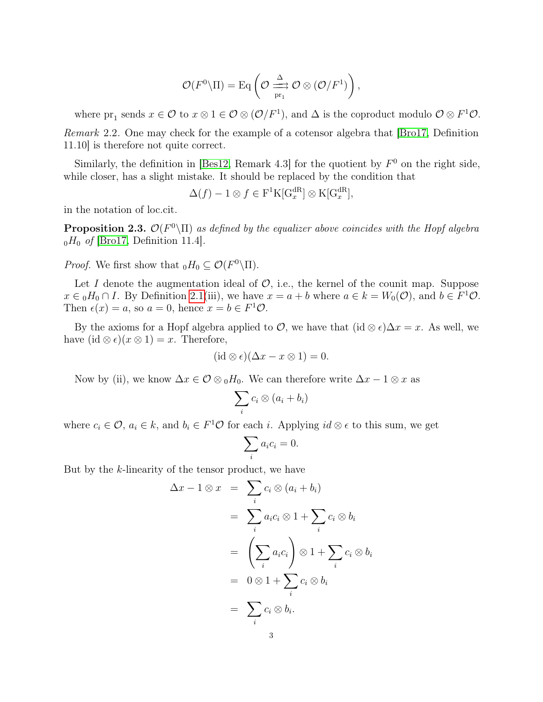$$
\mathcal{O}(F^0 \backslash \Pi) = \mathrm{Eq} \left( \mathcal{O} \xrightarrow[\mathrm{pr}_1]{\Delta} \mathcal{O} \otimes (\mathcal{O}/F^1) \right),
$$

where  $pr_1$  sends  $x \in \mathcal{O}$  to  $x \otimes 1 \in \mathcal{O} \otimes (\mathcal{O}/F^1)$ , and  $\Delta$  is the coproduct modulo  $\mathcal{O} \otimes F^1 \mathcal{O}$ . Remark 2.2. One may check for the example of a cotensor algebra that [\[Bro17,](#page-6-1) Definition 11.10] is therefore not quite correct.

Similarly, the definition in [\[Bes12,](#page-6-5) Remark 4.3] for the quotient by  $F^0$  on the right side, while closer, has a slight mistake. It should be replaced by the condition that

$$
\Delta(f) - 1 \otimes f \in \mathcal{F}^1 \mathcal{K}[\mathcal{G}_x^{\text{dR}}] \otimes \mathcal{K}[\mathcal{G}_x^{\text{dR}}],
$$

in the notation of loc.cit.

**Proposition 2.3.**  $\mathcal{O}(F^0 \setminus \Pi)$  as defined by the equalizer above coincides with the Hopf algebra  $_0H_0$  of [\[Bro17,](#page-6-1) Definition 11.4].

*Proof.* We first show that  $_0H_0 \subseteq \mathcal{O}(F^0 \backslash \Pi)$ .

Let I denote the augmentation ideal of  $\mathcal{O}$ , i.e., the kernel of the counit map. Suppose  $x \in {}_0H_0 \cap I$ . By Definition [2.1\(](#page-1-1)iii), we have  $x = a + b$  where  $a \in k = W_0(\mathcal{O})$ , and  $b \in F^1\mathcal{O}$ . Then  $\epsilon(x) = a$ , so  $a = 0$ , hence  $x = b \in F^1 \mathcal{O}$ .

By the axioms for a Hopf algebra applied to  $\mathcal{O}$ , we have that  $(id \otimes \epsilon)\Delta x = x$ . As well, we have  $(id \otimes \epsilon)(x \otimes 1) = x$ . Therefore,

$$
(\mathrm{id}\otimes\epsilon)(\Delta x-x\otimes 1)=0.
$$

Now by (ii), we know  $\Delta x \in \mathcal{O} \otimes {}_{0}H_{0}$ . We can therefore write  $\Delta x - 1 \otimes x$  as

$$
\sum_i c_i \otimes (a_i + b_i)
$$

where  $c_i \in \mathcal{O}$ ,  $a_i \in k$ , and  $b_i \in F^1\mathcal{O}$  for each i. Applying  $id \otimes \epsilon$  to this sum, we get

$$
\sum_i a_i c_i = 0.
$$

But by the k-linearity of the tensor product, we have

$$
\Delta x - 1 \otimes x = \sum_{i} c_{i} \otimes (a_{i} + b_{i})
$$
  
= 
$$
\sum_{i} a_{i} c_{i} \otimes 1 + \sum_{i} c_{i} \otimes b_{i}
$$
  
= 
$$
\left(\sum_{i} a_{i} c_{i}\right) \otimes 1 + \sum_{i} c_{i} \otimes b_{i}
$$
  
= 
$$
0 \otimes 1 + \sum_{i} c_{i} \otimes b_{i}
$$
  
= 
$$
\sum_{i} c_{i} \otimes b_{i}.
$$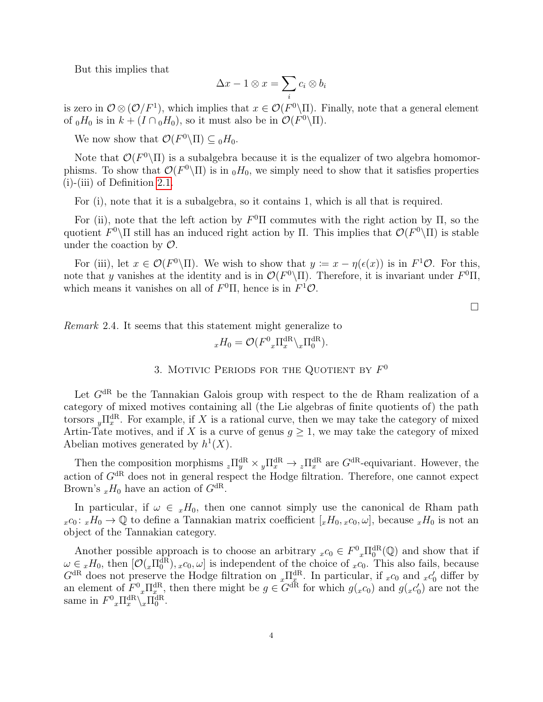But this implies that

$$
\Delta x - 1 \otimes x = \sum_i c_i \otimes b_i
$$

is zero in  $\mathcal{O}\otimes(\mathcal{O}/F^1)$ , which implies that  $x\in\mathcal{O}(F^0\backslash\Pi)$ . Finally, note that a general element of  $_0H_0$  is in  $k + (I \cap_0 H_0)$ , so it must also be in  $\mathcal{O}(F^0 \backslash \Pi)$ .

We now show that  $\mathcal{O}(F^0 \backslash \Pi) \subseteq {}_0H_0$ .

Note that  $\mathcal{O}(F^0 \backslash \Pi)$  is a subalgebra because it is the equalizer of two algebra homomorphisms. To show that  $\mathcal{O}(F^0\backslash\Pi)$  is in  $_0H_0$ , we simply need to show that it satisfies properties (i)-(iii) of Definition [2.1.](#page-1-1)

For (i), note that it is a subalgebra, so it contains 1, which is all that is required.

For (ii), note that the left action by  $F^0\Pi$  commutes with the right action by  $\Pi$ , so the quotient  $F^0\backslash\Pi$  still has an induced right action by  $\Pi$ . This implies that  $\mathcal{O}(F^0\backslash\Pi)$  is stable under the coaction by  $\mathcal{O}$ .

For (iii), let  $x \in \mathcal{O}(F^0 \setminus \Pi)$ . We wish to show that  $y \coloneqq x - \eta(\epsilon(x))$  is in  $F^1 \mathcal{O}$ . For this, note that y vanishes at the identity and is in  $\mathcal{O}(F^0\backslash\Pi)$ . Therefore, it is invariant under  $F^0\Pi$ , which means it vanishes on all of  $F^0\Pi$ , hence is in  $F^1O$ .

 $\Box$ 

Remark 2.4. It seems that this statement might generalize to

$$
{}_{x}H_{0}=\mathcal{O}(F^{0}{}_{x}\Pi^{\text{dR}}_{x}\backslash_{x}\Pi^{\text{dR}}_{0}).
$$

# 3. MOTIVIC PERIODS FOR THE QUOTIENT BY  $F^0$

Let  $G^{dR}$  be the Tannakian Galois group with respect to the de Rham realization of a category of mixed motives containing all (the Lie algebras of finite quotients of) the path torsors  $_{y}\Pi_{x}^{\text{dR}}$ . For example, if X is a rational curve, then we may take the category of mixed Artin-Tate motives, and if X is a curve of genus  $g \geq 1$ , we may take the category of mixed Abelian motives generated by  $h^1(X)$ .

Then the composition morphisms  ${}_{z}\Pi_{y}^{dR} \times {}_{y}\Pi_{x}^{dR} \to {}_{z}\Pi_{x}^{dR}$  are  $G^{dR}$ -equivariant. However, the action of  $G<sup>dR</sup>$  does not in general respect the Hodge filtration. Therefore, one cannot expect Brown's  $_{x}H_0$  have an action of  $G^{dR}$ .

In particular, if  $\omega \in H_0$ , then one cannot simply use the canonical de Rham path  $x \cdot c_0 : x H_0 \to \mathbb{Q}$  to define a Tannakian matrix coefficient  $[x H_0, x c_0, \omega]$ , because  $x H_0$  is not an object of the Tannakian category.

Another possible approach is to choose an arbitrary  $_{x}c_0 \in F^0_{x} \Pi_0^{\text{dR}}(\mathbb{Q})$  and show that if Another possible approach is to choose an arbitrary  $x \in T$   $x^{10}$  ( $\mathbb{Q}$ ) and show that if  $\omega \in xH_0$ , then  $[\mathcal{O}(x\Pi_0^{dR}), x c_0, \omega]$  is independent of the choice of  $x c_0$ . This also fails, because  $G<sup>dR</sup>$  does not preserve the Hodge filtration on  $_x\Pi_x^{\text{dR}}$ . In particular, if  $_xc_0$  and  $_xc'_0$  differ by an element of  $F^0{}_x \Pi_{x}^{\text{dR}}$ , then there might be  $g \in G^{\text{dR}}$  for which  $g(xc_0)$  and  $g(xc'_0)$  are not the same in  $F^0{}_x \Pi_x^{\text{dR}} \setminus_x \Pi_0^{\text{dR}}$ .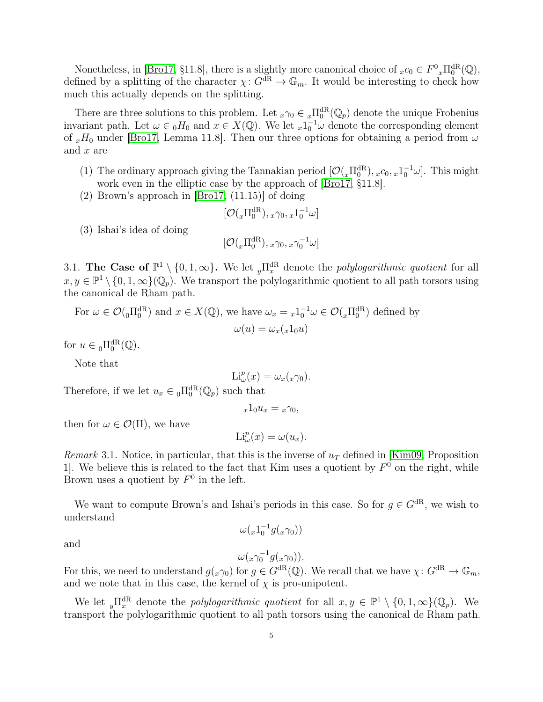Nonetheless, in [\[Bro17,](#page-6-1) §11.8], there is a slightly more canonical choice of  $_{x}c_0 \in F^0{}_x\Pi_0^{\text{dR}}(\mathbb{Q}),$ defined by a splitting of the character  $\chi: G^{dR} \to \mathbb{G}_m$ . It would be interesting to check how much this actually depends on the splitting.

There are three solutions to this problem. Let  ${}_x\gamma_0 \in {}_x\Pi_0^{\text{dR}}(\mathbb{Q}_p)$  denote the unique Frobenius invariant path. Let  $\omega \in {}_0H_0$  and  $x \in X(\mathbb{Q})$ . We let  ${}_x1_0^{-1}\omega$  denote the corresponding element of  $xH_0$  under [\[Bro17,](#page-6-1) Lemma 11.8]. Then our three options for obtaining a period from  $\omega$ and  $x$  are

- (1) The ordinary approach giving the Tannakian period  $[O(_{x}\Pi_0^{dR}), _{x}c_0, _{x}1_0^{-1}\omega]$ . This might work even in the elliptic case by the approach of [\[Bro17,](#page-6-1) §11.8].
- (2) Brown's approach in [\[Bro17,](#page-6-1) (11.15)] of doing

$$
[\mathcal{O}(_{x}\Pi^{\text{dR}}_{0}), \, _{x}\gamma_{0}, \, _{x}1_{0}^{-1}\omega]
$$

(3) Ishai's idea of doing

$$
[\mathcal{O}(_{x}\Pi^{\text{dR}}_{0}),{_{x}\gamma_{0}, {_{x}\gamma_{0}}^{-1}\omega}]
$$

3.1. The Case of  $\mathbb{P}^1 \setminus \{0, 1, \infty\}$ . We let  $_{y}\Pi_x^{\text{dR}}$  denote the *polylogarithmic quotient* for all  $x, y \in \mathbb{P}^1 \setminus \{0, 1, \infty\}(\mathbb{Q}_p)$ . We transport the polylogarithmic quotient to all path torsors using the canonical de Rham path.

For  $\omega \in \mathcal{O}(_{0}\Pi_{0}^{\text{dR}})$  and  $x \in X(\mathbb{Q})$ , we have  $\omega_x = {}_{x}1_{0}^{-1}\omega \in \mathcal{O}(_{x}\Pi_{0}^{\text{dR}})$  defined by  $\omega(u) = \omega_x(_x1_0u)$ 

for  $u \in {}_0 \Pi_0^{\mathrm{dR}}(\mathbb{Q})$ .

Note that

$$
\mathrm{Li}^p_\omega(x) = \omega_x({}_x\gamma_0).
$$

Therefore, if we let  $u_x \in {}_0 \Pi_0^{\text{dR}}(\mathbb{Q}_p)$  such that

$$
_{x}1_{0}u_{x}=\ _{x}\gamma _{0},
$$

then for  $\omega \in \mathcal{O}(\Pi)$ , we have

$$
\mathrm{Li}^p_\omega(x) = \omega(u_x).
$$

Remark 3.1. Notice, in particular, that this is the inverse of  $u_T$  defined in [\[Kim09,](#page-6-0) Proposition 1. We believe this is related to the fact that Kim uses a quotient by  $F^0$  on the right, while Brown uses a quotient by  $F^0$  in the left.

We want to compute Brown's and Ishai's periods in this case. So for  $q \in G^{dR}$ , we wish to understand

$$
\omega(_{x}1_{0}^{-1}g(_{x}\gamma_0))
$$

and

$$
\omega({}_x\gamma_0^{-1}g({}_x\gamma_0)).
$$

For this, we need to understand  $g(x\gamma_0)$  for  $g \in G^{\text{dR}}(\mathbb{Q})$ . We recall that we have  $\chi: G^{\text{dR}} \to \mathbb{G}_m$ , and we note that in this case, the kernel of  $\chi$  is pro-unipotent.

We let  $_{y}\Pi_{x}^{\text{dR}}$  denote the *polylogarithmic quotient* for all  $x, y \in \mathbb{P}^1 \setminus \{0, 1, \infty\}(\mathbb{Q}_p)$ . We transport the polylogarithmic quotient to all path torsors using the canonical de Rham path.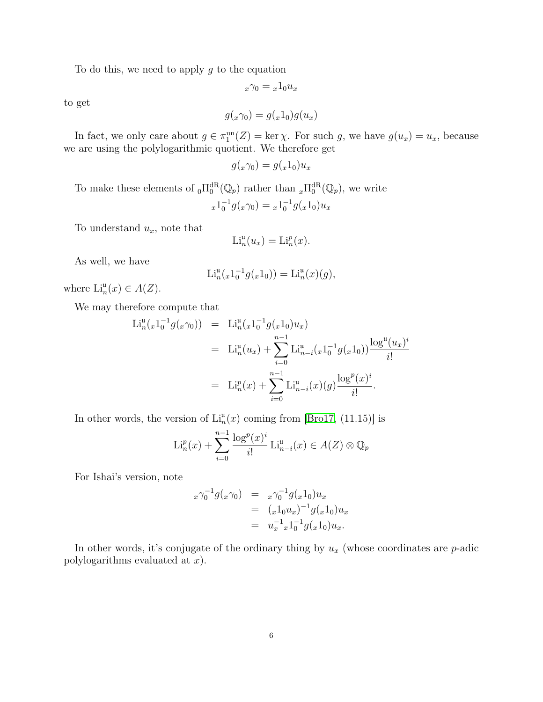To do this, we need to apply  $q$  to the equation

$$
_x\gamma_0 = {_x}1_0u_x
$$

to get

$$
g(x\gamma_0) = g(x1_0)g(u_x)
$$

In fact, we only care about  $g \in \pi_1^{\text{un}}(Z) = \ker \chi$ . For such g, we have  $g(u_x) = u_x$ , because we are using the polylogarithmic quotient. We therefore get

$$
g(x\gamma_0) = g(x1_0)u_x
$$

To make these elements of  $_{0}\Pi_{0}^{dR}(\mathbb{Q}_{p})$  rather than  $_{x}\Pi_{0}^{dR}(\mathbb{Q}_{p})$ , we write  $x1_0^{-1}g(x\gamma_0) = x1_0^{-1}g(x1_0)u_x$ 

To understand  $u_x$ , note that

$$
\mathrm{Li}_n^{\mathfrak{u}}(u_x) = \mathrm{Li}_n^p(x).
$$

As well, we have

$$
Li_n^{\mathfrak{u}}(x1_0^{-1}g(x1_0)) = Li_n^{\mathfrak{u}}(x)(g),
$$

where  $\mathrm{Li}_n^{\mathfrak{u}}(x) \in A(Z)$ .

We may therefore compute that

$$
\begin{split} \mathcal{L}i_n^{\mathfrak{u}}(x1_0^{-1}g(x\gamma_0)) &= \mathcal{L}i_n^{\mathfrak{u}}(x1_0^{-1}g(x1_0)u_x) \\ &= \mathcal{L}i_n^{\mathfrak{u}}(u_x) + \sum_{i=0}^{n-1} \mathcal{L}i_{n-i}^{\mathfrak{u}}(x1_0^{-1}g(x1_0)) \frac{\log^{\mathfrak{u}}(u_x)^i}{i!} \\ &= \mathcal{L}i_n^p(x) + \sum_{i=0}^{n-1} \mathcal{L}i_{n-i}^{\mathfrak{u}}(x)(g) \frac{\log^p(x)^i}{i!}. \end{split}
$$

In other words, the version of  $\text{Li}_{n}^{u}(x)$  coming from [\[Bro17,](#page-6-1) (11.15)] is

$$
\mathrm{Li}_n^p(x) + \sum_{i=0}^{n-1} \frac{\log^p(x)^i}{i!} \mathrm{Li}_{n-i}^{\mathrm{u}}(x) \in A(Z) \otimes \mathbb{Q}_p
$$

For Ishai's version, note

$$
x\gamma_0^{-1}g(x\gamma_0) = x\gamma_0^{-1}g(x1_0)u_x
$$
  
=  $(x1_0u_x)^{-1}g(x1_0)u_x$   
=  $u_x^{-1}x1_0^{-1}g(x1_0)u_x$ .

In other words, it's conjugate of the ordinary thing by  $u_x$  (whose coordinates are  $p$ -adic polylogarithms evaluated at  $x$ ).